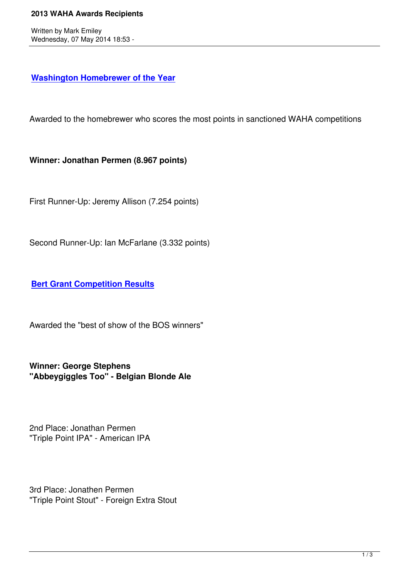## **Washington Homebrewer of the Year**

[Awarded to the homebrewer who scores](waha-home/146?task=view) the most points in sanctioned WAHA competitions

**Winner: Jonathan Permen (8.967 points)**

First Runner-Up: Jeremy Allison (7.254 points)

Second Runner-Up: Ian McFarlane (3.332 points)

**Bert Grant Competition Results**

[Awarded the "best of show of the B](waha-home/147?task=view)OS winners"

**Winner: George Stephens "Abbeygiggles Too" - Belgian Blonde Ale**

2nd Place: Jonathan Permen "Triple Point IPA" - American IPA

3rd Place: Jonathen Permen "Triple Point Stout" - Foreign Extra Stout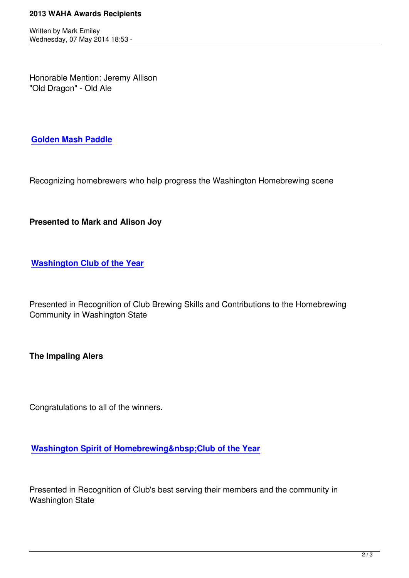Honorable Mention: Jeremy Allison "Old Dragon" - Old Ale

**Golden Mash Paddle**

[Recognizing homebrew](about-us/waha-projects/158?task=view)ers who help progress the Washington Homebrewing scene

**Presented to Mark and Alison Joy**

**Washington Club of the Year**

[Presented in Recognition of Clu](awards/180)b Brewing Skills and Contributions to the Homebrewing Community in Washington State

**The Impaling Alers**

Congratulations to all of the winners.

**Washington Spirit of Homebrewing Club of the Year** 

[Presented in Recognition of Club's best serving their members a](awards/392)nd the community in Washington State